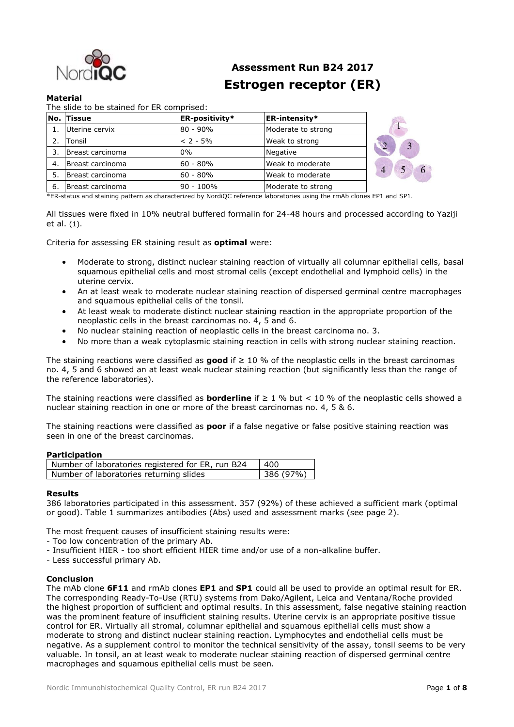

# **Assessment Run B24 2017 Estrogen receptor (ER)**

# **Material**

|    | No. Tissue       | <b>ER-positivity*</b> | <b>ER-intensity*</b> |  |
|----|------------------|-----------------------|----------------------|--|
|    | Uterine cervix   | 80 - 90%              | Moderate to strong   |  |
|    | Tonsil           | $< 2 - 5\%$           | Weak to strong       |  |
|    | Breast carcinoma | 0%                    | Negative             |  |
| 4. | Breast carcinoma | 60 - 80%              | Weak to moderate     |  |
| 5. | Breast carcinoma | 60 - 80%              | Weak to moderate     |  |
| 6. | Breast carcinoma | 90 - 100%             | Moderate to strong   |  |

\*ER-status and staining pattern as characterized by NordiQC reference laboratories using the rmAb clones EP1 and SP1.

All tissues were fixed in 10% neutral buffered formalin for 24-48 hours and processed according to Yaziji et al. (1).

Criteria for assessing ER staining result as **optimal** were:

- Moderate to strong, distinct nuclear staining reaction of virtually all columnar epithelial cells, basal squamous epithelial cells and most stromal cells (except endothelial and lymphoid cells) in the uterine cervix.
- An at least weak to moderate nuclear staining reaction of dispersed germinal centre macrophages and squamous epithelial cells of the tonsil.
- At least weak to moderate distinct nuclear staining reaction in the appropriate proportion of the neoplastic cells in the breast carcinomas no. 4, 5 and 6.
- No nuclear staining reaction of neoplastic cells in the breast carcinoma no. 3.
- No more than a weak cytoplasmic staining reaction in cells with strong nuclear staining reaction.

The staining reactions were classified as **good** if ≥ 10 % of the neoplastic cells in the breast carcinomas no. 4, 5 and 6 showed an at least weak nuclear staining reaction (but significantly less than the range of the reference laboratories).

The staining reactions were classified as **borderline** if ≥ 1 % but < 10 % of the neoplastic cells showed a nuclear staining reaction in one or more of the breast carcinomas no. 4, 5 & 6.

The staining reactions were classified as **poor** if a false negative or false positive staining reaction was seen in one of the breast carcinomas.

## **Participation**

| Number of laboratories registered for ER, run B24 | 400       |
|---------------------------------------------------|-----------|
| Number of laboratories returning slides           | 386 (97%) |

## **Results**

386 laboratories participated in this assessment. 357 (92%) of these achieved a sufficient mark (optimal or good). Table 1 summarizes antibodies (Abs) used and assessment marks (see page 2).

The most frequent causes of insufficient staining results were:

- Too low concentration of the primary Ab.
- Insufficient HIER too short efficient HIER time and/or use of a non-alkaline buffer.
- Less successful primary Ab.

## **Conclusion**

The mAb clone **6F11** and rmAb clones **EP1** and **SP1** could all be used to provide an optimal result for ER. The corresponding Ready-To-Use (RTU) systems from Dako/Agilent, Leica and Ventana/Roche provided the highest proportion of sufficient and optimal results. In this assessment, false negative staining reaction was the prominent feature of insufficient staining results. Uterine cervix is an appropriate positive tissue control for ER. Virtually all stromal, columnar epithelial and squamous epithelial cells must show a moderate to strong and distinct nuclear staining reaction. Lymphocytes and endothelial cells must be negative. As a supplement control to monitor the technical sensitivity of the assay, tonsil seems to be very valuable. In tonsil, an at least weak to moderate nuclear staining reaction of dispersed germinal centre macrophages and squamous epithelial cells must be seen.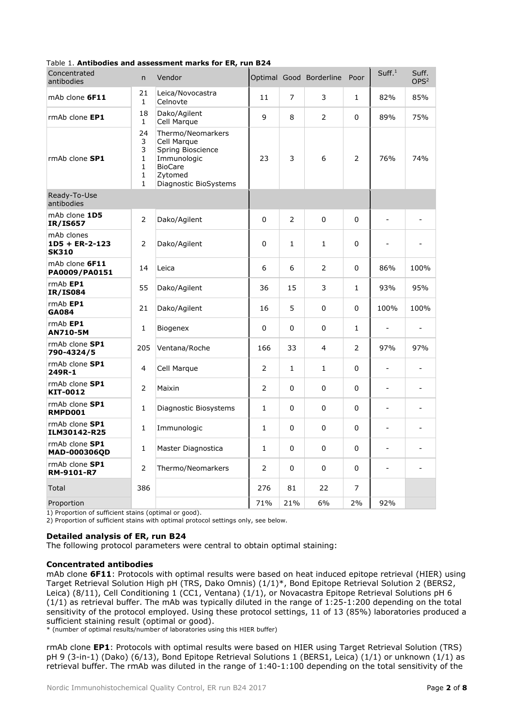|                                                |                                                                   | $180^\circ$ . Antibodies and assessment marks for EK, full DZ-                                                             |              |                |                         |                |                          |                           |
|------------------------------------------------|-------------------------------------------------------------------|----------------------------------------------------------------------------------------------------------------------------|--------------|----------------|-------------------------|----------------|--------------------------|---------------------------|
| Concentrated<br>antibodies                     | n.                                                                | Vendor                                                                                                                     |              |                | Optimal Good Borderline | Poor           | Suff. <sup>1</sup>       | Suff.<br>OPS <sup>2</sup> |
| mAb clone 6F11                                 | 21<br>$\mathbf{1}$                                                | Leica/Novocastra<br>Celnovte                                                                                               | 11           | $\overline{7}$ | 3                       | $\mathbf{1}$   | 82%                      | 85%                       |
| rmAb clone EP1                                 | 18<br>$\mathbf{1}$                                                | Dako/Agilent<br>Cell Marque                                                                                                | 9            | 8              | $\overline{2}$          | 0              | 89%                      | 75%                       |
| rmAb clone SP1                                 | 24<br>3<br>3<br>1<br>$\mathbf{1}$<br>$\mathbf{1}$<br>$\mathbf{1}$ | Thermo/Neomarkers<br>Cell Marque<br>Spring Bioscience<br>Immunologic<br><b>BioCare</b><br>Zytomed<br>Diagnostic BioSystems | 23           | 3              | 6                       | $\overline{2}$ | 76%                      | 74%                       |
| Ready-To-Use<br>antibodies                     |                                                                   |                                                                                                                            |              |                |                         |                |                          |                           |
| mAb clone 1D5<br><b>IR/IS657</b>               | 2                                                                 | Dako/Agilent                                                                                                               | 0            | $\overline{2}$ | 0                       | 0              | $\overline{a}$           |                           |
| mAb clones<br>$1D5 + ER-2-123$<br><b>SK310</b> | 2                                                                 | Dako/Agilent                                                                                                               | 0            | $\mathbf{1}$   | $\mathbf{1}$            | 0              |                          |                           |
| mAb clone 6F11<br>PA0009/PA0151                | 14                                                                | Leica                                                                                                                      | 6            | 6              | $\overline{2}$          | 0              | 86%                      | 100%                      |
| $rmAb$ EP1<br><b>IR/IS084</b>                  | 55                                                                | Dako/Agilent                                                                                                               | 36           | 15             | 3                       | $\mathbf{1}$   | 93%                      | 95%                       |
| rmAb EP1<br><b>GA084</b>                       | 21                                                                | Dako/Agilent                                                                                                               | 16           | 5              | $\Omega$                | 0              | 100%                     | 100%                      |
| $rmAb$ EP1<br><b>AN710-5M</b>                  | $\mathbf{1}$                                                      | Biogenex                                                                                                                   | 0            | 0              | 0                       | $\mathbf{1}$   | $\sim$                   | ÷                         |
| rmAb clone SP1<br>790-4324/5                   | 205                                                               | Ventana/Roche                                                                                                              | 166          | 33             | $\overline{4}$          | 2              | 97%                      | 97%                       |
| rmAb clone SP1<br>249R-1                       | 4                                                                 | Cell Marque                                                                                                                | 2            | $\mathbf{1}$   | $\mathbf{1}$            | 0              | ٠                        |                           |
| rmAb clone SP1<br>KIT-0012                     | 2                                                                 | Maixin                                                                                                                     | 2            | 0              | 0                       | 0              | $\blacksquare$           |                           |
| rmAb clone SP1<br>RMPD001                      | $\mathbf{1}$                                                      | Diagnostic Biosystems                                                                                                      | 1            | $\Omega$       | $\Omega$                | 0              | $\sim$                   |                           |
| rmAb clone SP1<br>ILM30142-R25                 | $\mathbf{1}$                                                      | Immunologic                                                                                                                | $\mathbf{1}$ | 0              | 0                       | $\Omega$       | $\overline{a}$           |                           |
| rmAb clone SP1<br>MAD-000306QD                 | $\mathbf{1}$                                                      | Master Diagnostica                                                                                                         | $\mathbf{1}$ | 0              | 0                       | 0              | ٠                        |                           |
| rmAb clone SP1<br>RM-9101-R7                   | 2                                                                 | Thermo/Neomarkers                                                                                                          | 2            | 0              | $\Omega$                | 0              | $\overline{\phantom{a}}$ |                           |
| Total                                          | 386                                                               |                                                                                                                            | 276          | 81             | 22                      | 7              |                          |                           |
| Proportion                                     |                                                                   |                                                                                                                            | 71%          | 21%            | 6%                      | 2%             | 92%                      |                           |

## Table 1. **Antibodies and assessment marks for ER, run B24**

1) Proportion of sufficient stains (optimal or good).

2) Proportion of sufficient stains with optimal protocol settings only, see below.

# **Detailed analysis of ER, run B24**

The following protocol parameters were central to obtain optimal staining:

## **Concentrated antibodies**

mAb clone **6F11**: Protocols with optimal results were based on heat induced epitope retrieval (HIER) using Target Retrieval Solution High pH (TRS, Dako Omnis) (1/1)\*, Bond Epitope Retrieval Solution 2 (BERS2, Leica) (8/11), Cell Conditioning 1 (CC1, Ventana) (1/1), or Novacastra Epitope Retrieval Solutions pH 6 (1/1) as retrieval buffer. The mAb was typically diluted in the range of 1:25-1:200 depending on the total sensitivity of the protocol employed. Using these protocol settings, 11 of 13 (85%) laboratories produced a sufficient staining result (optimal or good).

\* (number of optimal results/number of laboratories using this HIER buffer)

rmAb clone **EP1**: Protocols with optimal results were based on HIER using Target Retrieval Solution (TRS) pH 9 (3-in-1) (Dako) (6/13), Bond Epitope Retrieval Solutions 1 (BERS1, Leica) (1/1) or unknown (1/1) as retrieval buffer. The rmAb was diluted in the range of 1:40-1:100 depending on the total sensitivity of the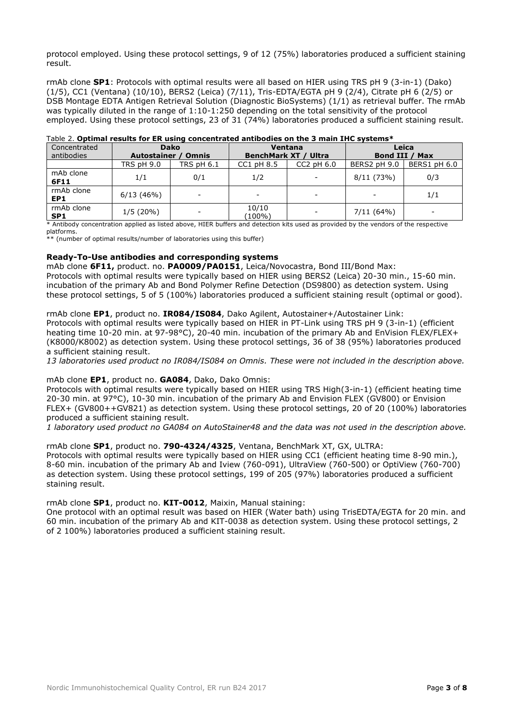protocol employed. Using these protocol settings, 9 of 12 (75%) laboratories produced a sufficient staining result.

rmAb clone **SP1**: Protocols with optimal results were all based on HIER using TRS pH 9 (3-in-1) (Dako) (1/5), CC1 (Ventana) (10/10), BERS2 (Leica) (7/11), Tris-EDTA/EGTA pH 9 (2/4), Citrate pH 6 (2/5) or DSB Montage EDTA Antigen Retrieval Solution (Diagnostic BioSystems) (1/1) as retrieval buffer. The rmAb was typically diluted in the range of 1:10-1:250 depending on the total sensitivity of the protocol employed. Using these protocol settings, 23 of 31 (74%) laboratories produced a sufficient staining result.

| Concentrated<br>antibodies    | <b>Dako</b><br>Autostainer /<br><b>Omnis</b> |                   | <b>BenchMark XT / Ultra</b> | Ventana                  | Leica<br><b>Bond III / Max</b> |              |  |
|-------------------------------|----------------------------------------------|-------------------|-----------------------------|--------------------------|--------------------------------|--------------|--|
|                               | <b>TRS pH 9.0</b>                            | <b>TRS pH 6.1</b> | $CC1$ pH $8.5$              | $CC2$ pH $6.0$           | BERS2 pH 9.0                   | BERS1 pH 6.0 |  |
| mAb clone<br>6F11             | 1/1                                          | 0/1               | 1/2                         | $\overline{\phantom{a}}$ | 8/11(73%)                      | 0/3          |  |
| rmAb clone<br>EP1             | 6/13(46%)                                    |                   |                             | -                        |                                | 1/1          |  |
| rmAb clone<br>SP <sub>1</sub> | 1/5(20%)                                     |                   | 10/10<br>(100%)             | -                        | 7/11(64%)                      |              |  |

# Table 2. **Optimal results for ER using concentrated antibodies on the 3 main IHC systems\***

\* Antibody concentration applied as listed above, HIER buffers and detection kits used as provided by the vendors of the respective platforms.

\*\* (number of optimal results/number of laboratories using this buffer)

# **Ready-To-Use antibodies and corresponding systems**

mAb clone **6F11,** product. no. **PA0009/PA0151**, Leica/Novocastra, Bond III/Bond Max:

Protocols with optimal results were typically based on HIER using BERS2 (Leica) 20-30 min., 15-60 min. incubation of the primary Ab and Bond Polymer Refine Detection (DS9800) as detection system. Using these protocol settings, 5 of 5 (100%) laboratories produced a sufficient staining result (optimal or good).

## rmAb clone **EP1**, product no. **IR084/IS084**, Dako Agilent, Autostainer+/Autostainer Link:

Protocols with optimal results were typically based on HIER in PT-Link using TRS pH 9 (3-in-1) (efficient heating time 10-20 min. at 97-98°C), 20-40 min. incubation of the primary Ab and EnVision FLEX/FLEX+ (K8000/K8002) as detection system. Using these protocol settings, 36 of 38 (95%) laboratories produced a sufficient staining result.

*13 laboratories used product no IR084/IS084 on Omnis. These were not included in the description above.*

## mAb clone **EP1**, product no. **GA084**, Dako, Dako Omnis:

Protocols with optimal results were typically based on HIER using TRS High(3-in-1) (efficient heating time 20-30 min. at 97°C), 10-30 min. incubation of the primary Ab and Envision FLEX (GV800) or Envision FLEX+ (GV800++GV821) as detection system. Using these protocol settings, 20 of 20 (100%) laboratories produced a sufficient staining result.

*1 laboratory used product no GA084 on AutoStainer48 and the data was not used in the description above.*

# rmAb clone **SP1**, product no. **790-4324/4325**, Ventana, BenchMark XT, GX, ULTRA:

Protocols with optimal results were typically based on HIER using CC1 (efficient heating time 8-90 min.), 8-60 min. incubation of the primary Ab and Iview (760-091), UltraView (760-500) or OptiView (760-700) as detection system. Using these protocol settings, 199 of 205 (97%) laboratories produced a sufficient staining result.

rmAb clone **SP1**, product no. **KIT-0012**, Maixin, Manual staining:

One protocol with an optimal result was based on HIER (Water bath) using TrisEDTA/EGTA for 20 min. and 60 min. incubation of the primary Ab and KIT-0038 as detection system. Using these protocol settings, 2 of 2 100%) laboratories produced a sufficient staining result.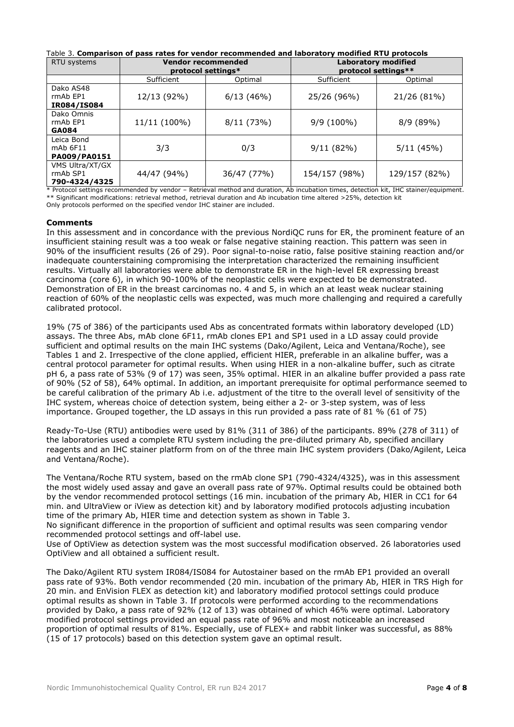| Table 3. Comparison of pass rates for vendor recommended and laboratory modified RTU protocols |                                                 |             |                                                   |               |  |  |  |
|------------------------------------------------------------------------------------------------|-------------------------------------------------|-------------|---------------------------------------------------|---------------|--|--|--|
| RTU systems                                                                                    | <b>Vendor recommended</b><br>protocol settings* |             | <b>Laboratory modified</b><br>protocol settings** |               |  |  |  |
|                                                                                                | Sufficient                                      | Optimal     | Sufficient                                        | Optimal       |  |  |  |
| Dako AS48<br>rmAb EP1<br>IR084/IS084                                                           | 12/13 (92%)                                     | 6/13(46%)   | 25/26 (96%)                                       | 21/26 (81%)   |  |  |  |
| Dako Omnis<br>rmAb EP1<br><b>GA084</b>                                                         | 11/11 (100%)                                    | 8/11(73%)   | $9/9(100\%)$                                      | 8/9 (89%)     |  |  |  |
| Leica Bond<br>mAb 6F11<br><b>PA009/PA0151</b>                                                  | 3/3                                             | 0/3         | 9/11(82%)                                         | 5/11(45%)     |  |  |  |
| VMS Ultra/XT/GX<br>rmAb SP1                                                                    | 44/47 (94%)                                     | 36/47 (77%) | 154/157 (98%)                                     | 129/157 (82%) |  |  |  |

\* Protocol settings recommended by vendor – Retrieval method and duration, Ab incubation times, detection kit, IHC stainer/equipment. \*\* Significant modifications: retrieval method, retrieval duration and Ab incubation time altered >25%, detection kit Only protocols performed on the specified vendor IHC stainer are included.

44/47 (94%) 36/47 (77%) 154/157 (98%) 129/157 (82%)

# **Comments**

**790-4324/4325**

In this assessment and in concordance with the previous NordiQC runs for ER, the prominent feature of an insufficient staining result was a too weak or false negative staining reaction. This pattern was seen in 90% of the insufficient results (26 of 29). Poor signal-to-noise ratio, false positive staining reaction and/or inadequate counterstaining compromising the interpretation characterized the remaining insufficient results. Virtually all laboratories were able to demonstrate ER in the high-level ER expressing breast carcinoma (core 6), in which 90-100% of the neoplastic cells were expected to be demonstrated. Demonstration of ER in the breast carcinomas no. 4 and 5, in which an at least weak nuclear staining reaction of 60% of the neoplastic cells was expected, was much more challenging and required a carefully calibrated protocol.

19% (75 of 386) of the participants used Abs as concentrated formats within laboratory developed (LD) assays. The three Abs, mAb clone 6F11, rmAb clones EP1 and SP1 used in a LD assay could provide sufficient and optimal results on the main IHC systems (Dako/Agilent, Leica and Ventana/Roche), see Tables 1 and 2. Irrespective of the clone applied, efficient HIER, preferable in an alkaline buffer, was a central protocol parameter for optimal results. When using HIER in a non-alkaline buffer, such as citrate pH 6, a pass rate of 53% (9 of 17) was seen, 35% optimal. HIER in an alkaline buffer provided a pass rate of 90% (52 of 58), 64% optimal. In addition, an important prerequisite for optimal performance seemed to be careful calibration of the primary Ab i.e. adjustment of the titre to the overall level of sensitivity of the IHC system, whereas choice of detection system, being either a 2- or 3-step system, was of less importance. Grouped together, the LD assays in this run provided a pass rate of 81 % (61 of 75)

Ready-To-Use (RTU) antibodies were used by 81% (311 of 386) of the participants. 89% (278 of 311) of the laboratories used a complete RTU system including the pre-diluted primary Ab, specified ancillary reagents and an IHC stainer platform from on of the three main IHC system providers (Dako/Agilent, Leica and Ventana/Roche).

The Ventana/Roche RTU system, based on the rmAb clone SP1 (790-4324/4325), was in this assessment the most widely used assay and gave an overall pass rate of 97%. Optimal results could be obtained both by the vendor recommended protocol settings (16 min. incubation of the primary Ab, HIER in CC1 for 64 min. and UltraView or iView as detection kit) and by laboratory modified protocols adjusting incubation time of the primary Ab, HIER time and detection system as shown in Table 3.

No significant difference in the proportion of sufficient and optimal results was seen comparing vendor recommended protocol settings and off-label use.

Use of OptiView as detection system was the most successful modification observed. 26 laboratories used OptiView and all obtained a sufficient result.

The Dako/Agilent RTU system IR084/IS084 for Autostainer based on the rmAb EP1 provided an overall pass rate of 93%. Both vendor recommended (20 min. incubation of the primary Ab, HIER in TRS High for 20 min. and EnVision FLEX as detection kit) and laboratory modified protocol settings could produce optimal results as shown in Table 3. If protocols were performed according to the recommendations provided by Dako, a pass rate of 92% (12 of 13) was obtained of which 46% were optimal. Laboratory modified protocol settings provided an equal pass rate of 96% and most noticeable an increased proportion of optimal results of 81%. Especially, use of FLEX+ and rabbit linker was successful, as 88% (15 of 17 protocols) based on this detection system gave an optimal result.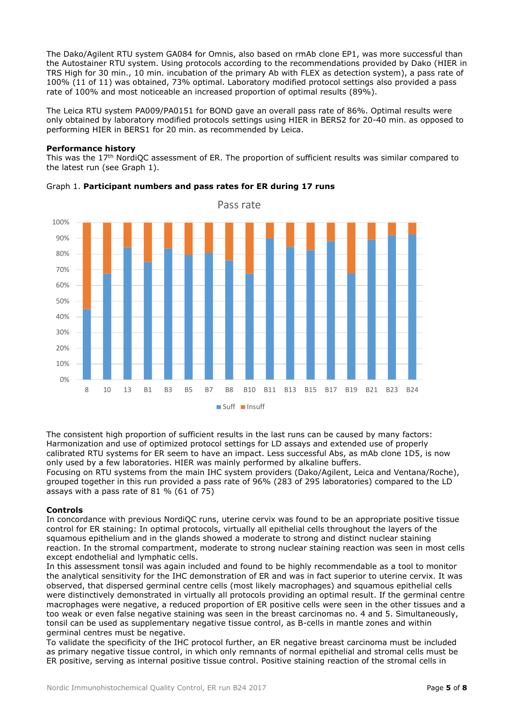The Dako/Agilent RTU system GA084 for Omnis, also based on rmAb clone EP1, was more successful than the Autostainer RTU system. Using protocols according to the recommendations provided by Dako (HIER in TRS High for 30 min., 10 min. incubation of the primary Ab with FLEX as detection system), a pass rate of 100% (11 of 11) was obtained, 73% optimal. Laboratory modified protocol settings also provided a pass rate of 100% and most noticeable an increased proportion of optimal results (89%).

The Leica RTU system PA009/PA0151 for BOND gave an overall pass rate of 86%. Optimal results were only obtained by laboratory modified protocols settings using HIER in BERS2 for 20-40 min. as opposed to performing HIER in BERS1 for 20 min. as recommended by Leica.

# **Performance history**

This was the 17th NordiQC assessment of ER. The proportion of sufficient results was similar compared to the latest run (see Graph 1).



# Graph 1. **Participant numbers and pass rates for ER during 17 runs**

The consistent high proportion of sufficient results in the last runs can be caused by many factors: Harmonization and use of optimized protocol settings for LD assays and extended use of properly calibrated RTU systems for ER seem to have an impact. Less successful Abs, as mAb clone 1D5, is now only used by a few laboratories. HIER was mainly performed by alkaline buffers.

Focusing on RTU systems from the main IHC system providers (Dako/Agilent, Leica and Ventana/Roche), grouped together in this run provided a pass rate of 96% (283 of 295 laboratories) compared to the LD assays with a pass rate of 81 % (61 of 75)

# **Controls**

In concordance with previous NordiQC runs, uterine cervix was found to be an appropriate positive tissue control for ER staining: In optimal protocols, virtually all epithelial cells throughout the layers of the squamous epithelium and in the glands showed a moderate to strong and distinct nuclear staining reaction. In the stromal compartment, moderate to strong nuclear staining reaction was seen in most cells except endothelial and lymphatic cells.

In this assessment tonsil was again included and found to be highly recommendable as a tool to monitor the analytical sensitivity for the IHC demonstration of ER and was in fact superior to uterine cervix. It was observed, that dispersed germinal centre cells (most likely macrophages) and squamous epithelial cells were distinctively demonstrated in virtually all protocols providing an optimal result. If the germinal centre macrophages were negative, a reduced proportion of ER positive cells were seen in the other tissues and a too weak or even false negative staining was seen in the breast carcinomas no. 4 and 5. Simultaneously, tonsil can be used as supplementary negative tissue control, as B-cells in mantle zones and within germinal centres must be negative.

To validate the specificity of the IHC protocol further, an ER negative breast carcinoma must be included as primary negative tissue control, in which only remnants of normal epithelial and stromal cells must be ER positive, serving as internal positive tissue control. Positive staining reaction of the stromal cells in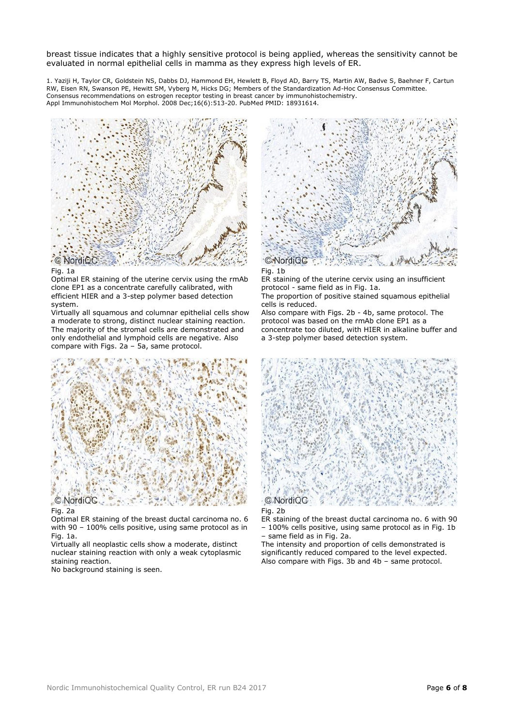breast tissue indicates that a highly sensitive protocol is being applied, whereas the sensitivity cannot be evaluated in normal epithelial cells in mamma as they express high levels of ER.

1. Yaziji H, Taylor CR, Goldstein NS, Dabbs DJ, Hammond EH, Hewlett B, Floyd AD, Barry TS, Martin AW, Badve S, Baehner F, Cartun RW, Eisen RN, Swanson PE, Hewitt SM, Vyberg M, Hicks DG; Members of the Standardization Ad-Hoc Consensus Committee. Consensus recommendations on estrogen receptor testing in breast cancer by immunohistochemistry. Appl Immunohistochem Mol Morphol. 2008 Dec;16(6):513-20. PubMed PMID: 18931614.



#### Fig. 1a

Optimal ER staining of the uterine cervix using the rmAb clone EP1 as a concentrate carefully calibrated, with efficient HIER and a 3-step polymer based detection system.

Virtually all squamous and columnar epithelial cells show a moderate to strong, distinct nuclear staining reaction. The majority of the stromal cells are demonstrated and only endothelial and lymphoid cells are negative. Also compare with Figs. 2a – 5a, same protocol.



#### Fig. 2a

Optimal ER staining of the breast ductal carcinoma no. 6 with 90 – 100% cells positive, using same protocol as in Fig. 1a.

Virtually all neoplastic cells show a moderate, distinct nuclear staining reaction with only a weak cytoplasmic staining reaction.

No background staining is seen.



Fig. 1b

ER staining of the uterine cervix using an insufficient protocol - same field as in Fig. 1a.

The proportion of positive stained squamous epithelial cells is reduced.

Also compare with Figs. 2b - 4b, same protocol. The protocol was based on the rmAb clone EP1 as a concentrate too diluted, with HIER in alkaline buffer and a 3-step polymer based detection system.



# Fig. 2b

ER staining of the breast ductal carcinoma no. 6 with 90 – 100% cells positive, using same protocol as in Fig. 1b – same field as in Fig. 2a.

The intensity and proportion of cells demonstrated is significantly reduced compared to the level expected. Also compare with Figs. 3b and 4b – same protocol.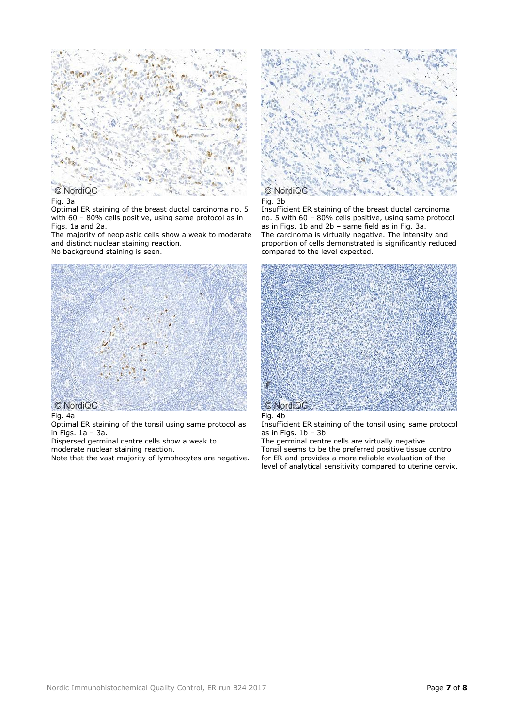

#### Fig. 3a

Optimal ER staining of the breast ductal carcinoma no. 5 with 60 – 80% cells positive, using same protocol as in Figs. 1a and 2a.

The majority of neoplastic cells show a weak to moderate and distinct nuclear staining reaction. No background staining is seen.



#### Fig. 4a

Optimal ER staining of the tonsil using same protocol as in Figs. 1a – 3a.

Dispersed germinal centre cells show a weak to

moderate nuclear staining reaction.

Note that the vast majority of lymphocytes are negative.



#### Fig. 3b

Insufficient ER staining of the breast ductal carcinoma no. 5 with 60 – 80% cells positive, using same protocol as in Figs. 1b and 2b – same field as in Fig. 3a. The carcinoma is virtually negative. The intensity and proportion of cells demonstrated is significantly reduced compared to the level expected.



Fig. 4b

Insufficient ER staining of the tonsil using same protocol as in Figs. 1b – 3b

The germinal centre cells are virtually negative. Tonsil seems to be the preferred positive tissue control for ER and provides a more reliable evaluation of the level of analytical sensitivity compared to uterine cervix.